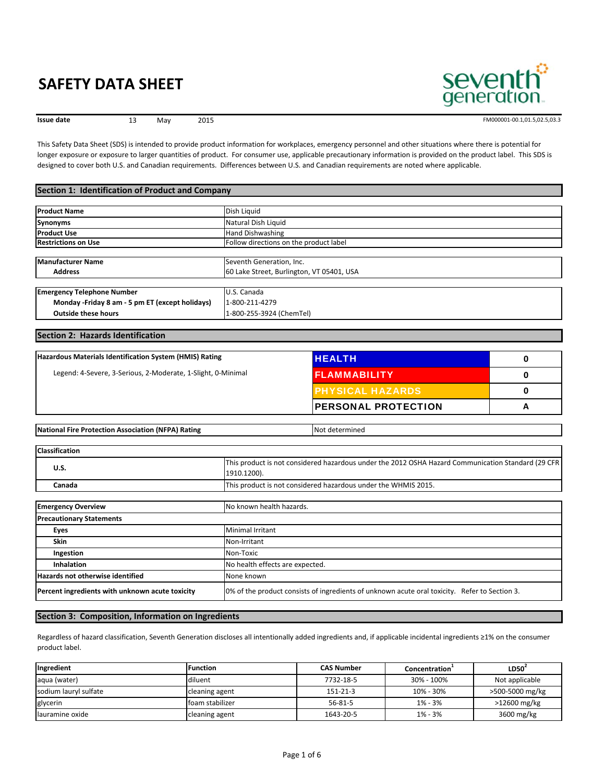

13 May 2015



FM000001-00.1,01.5,02.5,03.3

This Safety Data Sheet (SDS) is intended to provide product information for workplaces, emergency personnel and other situations where there is potential for longer exposure or exposure to larger quantities of product. For consumer use, applicable precautionary information is provided on the product label. This SDS is designed to cover both U.S. and Canadian requirements. Differences between U.S. and Canadian requirements are noted where applicable.

#### **Section 1: Identification of Product and Company**

| <b>Product Name</b>                              | Dish Liquid                               |
|--------------------------------------------------|-------------------------------------------|
| Synonyms                                         | Natural Dish Liquid                       |
| <b>Product Use</b>                               | <b>Hand Dishwashing</b>                   |
| <b>Restrictions on Use</b>                       | Follow directions on the product label    |
|                                                  |                                           |
| <b>Manufacturer Name</b>                         | Seventh Generation, Inc.                  |
| <b>Address</b>                                   | 60 Lake Street, Burlington, VT 05401, USA |
|                                                  |                                           |
| <b>Emergency Telephone Number</b>                | U.S. Canada                               |
| Monday - Friday 8 am - 5 pm ET (except holidays) | 1-800-211-4279                            |
| <b>Outside these hours</b>                       | 1-800-255-3924 (ChemTel)                  |

#### **Section 2: Hazards Identification**

| Hazardous Materials Identification System (HMIS) Rating      | <b>HEALTH</b>               |   |
|--------------------------------------------------------------|-----------------------------|---|
| Legend: 4-Severe, 3-Serious, 2-Moderate, 1-Slight, 0-Minimal | <b>FLAMMABILITY</b>         |   |
|                                                              | <b>IPHYSICAL HAZARDS</b>    |   |
|                                                              | <b>IPERSONAL PROTECTION</b> | А |
|                                                              |                             |   |

|  | <b>National</b><br>) Rating<br>(NFPA)<br>I Fire Protection Association | etermined<br>'N∩t |
|--|------------------------------------------------------------------------|-------------------|
|--|------------------------------------------------------------------------|-------------------|

| <b>Classification</b>                           |                                                                                                                   |
|-------------------------------------------------|-------------------------------------------------------------------------------------------------------------------|
| U.S.                                            | This product is not considered hazardous under the 2012 OSHA Hazard Communication Standard (29 CFR<br>1910.1200). |
| Canada                                          | This product is not considered hazardous under the WHMIS 2015.                                                    |
|                                                 |                                                                                                                   |
| <b>Emergency Overview</b>                       | No known health hazards.                                                                                          |
| <b>Precautionary Statements</b>                 |                                                                                                                   |
| Eyes                                            | <b>Minimal Irritant</b>                                                                                           |
| <b>Skin</b>                                     | Non-Irritant                                                                                                      |
| Ingestion                                       | Non-Toxic                                                                                                         |
| <b>Inhalation</b>                               | No health effects are expected.                                                                                   |
| Hazards not otherwise identified                | None known                                                                                                        |
| Percent ingredients with unknown acute toxicity | 10% of the product consists of ingredients of unknown acute oral toxicity. Refer to Section 3.                    |

#### **Section 3: Composition, Information on Ingredients**

Regardless of hazard classification, Seventh Generation discloses all intentionally added ingredients and, if applicable incidental ingredients ≥1% on the consumer product label.

| Ingredient            | <b>Function</b> | <b>CAS Number</b> | Concentration <sup>+</sup> | LD50 <sup>2</sup> |
|-----------------------|-----------------|-------------------|----------------------------|-------------------|
| aqua (water)          | diluent         | 7732-18-5         | 30% - 100%                 | Not applicable    |
| sodium lauryl sulfate | cleaning agent  | 151-21-3          | 10% - 30%                  | >500-5000 mg/kg   |
| glycerin              | foam stabilizer | 56-81-5           | $1\% - 3\%$                | >12600 mg/kg      |
| llauramine oxide      | cleaning agent  | 1643-20-5         | $1\% - 3\%$                | 3600 mg/kg        |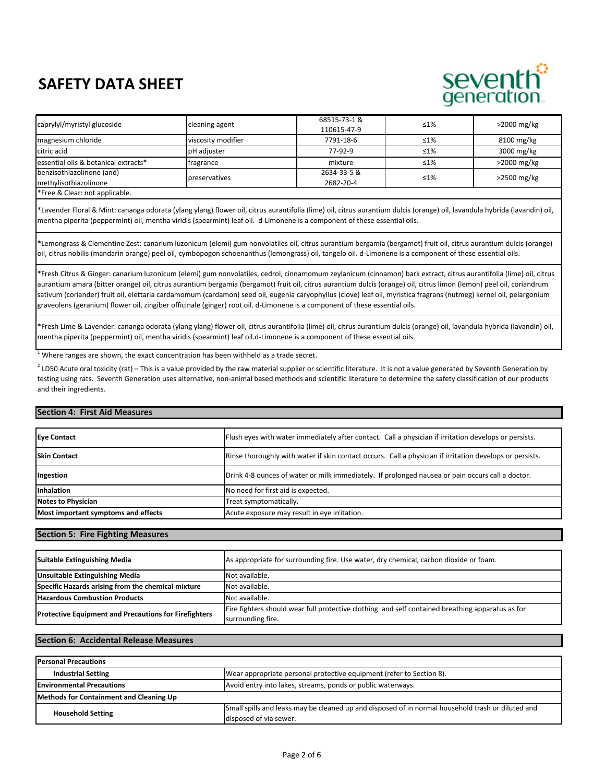# seventh generation

| caprylyl/myristyl glucoside                                                                                                                                                                                                                                                                                         | cleaning agent     | 68515-73-1 & | $\leq 1\%$ | $>$ 2000 mg/kg |  |
|---------------------------------------------------------------------------------------------------------------------------------------------------------------------------------------------------------------------------------------------------------------------------------------------------------------------|--------------------|--------------|------------|----------------|--|
|                                                                                                                                                                                                                                                                                                                     |                    | 110615-47-9  |            |                |  |
| magnesium chloride                                                                                                                                                                                                                                                                                                  | viscosity modifier | 7791-18-6    | $\leq 1\%$ | 8100 mg/kg     |  |
| citric acid                                                                                                                                                                                                                                                                                                         | pH adiuster        | 77-92-9      | $\leq 1\%$ | 3000 mg/kg     |  |
| essential oils & botanical extracts*                                                                                                                                                                                                                                                                                | tragrance          | mixture      | $\leq 1\%$ | $>2000$ mg/kg  |  |
| benzisothiazolinone (and)                                                                                                                                                                                                                                                                                           | preservatives      | 2634-33-5 &  | $\leq 1\%$ |                |  |
| methylisothiazolinone                                                                                                                                                                                                                                                                                               |                    | 2682-20-4    |            | $>2500$ mg/kg  |  |
| $\frac{1}{2}$ $\frac{1}{2}$ $\frac{1}{2}$ $\frac{1}{2}$ $\frac{1}{2}$ $\frac{1}{2}$ $\frac{1}{2}$ $\frac{1}{2}$ $\frac{1}{2}$ $\frac{1}{2}$ $\frac{1}{2}$ $\frac{1}{2}$ $\frac{1}{2}$ $\frac{1}{2}$ $\frac{1}{2}$ $\frac{1}{2}$ $\frac{1}{2}$ $\frac{1}{2}$ $\frac{1}{2}$ $\frac{1}{2}$ $\frac{1}{2}$ $\frac{1}{2}$ |                    |              |            |                |  |

\*Free & Clear: not applicable.

\*Lavender Floral & Mint: cananga odorata (ylang ylang) flower oil, citrus aurantifolia (lime) oil, citrus aurantium dulcis (orange) oil, lavandula hybrida (lavandin) oil, mentha piperita (peppermint) oil, mentha viridis (spearmint) leaf oil. d-Limonene is a component of these essential oils.

\*Lemongrass & Clementine Zest: canarium luzonicum (elemi) gum nonvolatiles oil, citrus aurantium bergamia (bergamot) fruit oil, citrus aurantium dulcis (orange) oil, citrus nobilis (mandarin orange) peel oil, cymbopogon schoenanthus (lemongrass) oil, tangelo oil. d-Limonene is a component of these essential oils.

\*Fresh Citrus & Ginger: canarium luzonicum (elemi) gum nonvolatiles, cedrol, cinnamomum zeylanicum (cinnamon) bark extract, citrus aurantifolia (lime) oil, citrus aurantium amara (bitter orange) oil, citrus aurantium bergamia (bergamot) fruit oil, citrus aurantium dulcis (orange) oil, citrus limon (lemon) peel oil, coriandrum sativum (coriander) fruit oil, elettaria cardamomum (cardamon) seed oil, eugenia caryophyllus (clove) leaf oil, myristica fragrans (nutmeg) kernel oil, pelargonium graveolens (geranium) flower oil, zingiber officinale (ginger) root oil. d-Limonene is a component of these essential oils.

\*Fresh Lime & Lavender: cananga odorata (ylang ylang) flower oil, citrus aurantifolia (lime) oil, citrus aurantium dulcis (orange) oil, lavandula hybrida (lavandin) oil, mentha piperita (peppermint) oil, mentha viridis (spearmint) leaf oil.d-Limonene is a component of these essential oils.

 $1$  Where ranges are shown, the exact concentration has been withheld as a trade secret.

 $^2$  LD50 Acute oral toxicity (rat) – This is a value provided by the raw material supplier or scientific literature. It is not a value generated by Seventh Generation by testing using rats. Seventh Generation uses alternative, non-animal based methods and scientific literature to determine the safety classification of our products and their ingredients.

#### **Section 4: First Aid Measures**

| <b>Eye Contact</b>                  | Flush eyes with water immediately after contact. Call a physician if irritation develops or persists.    |
|-------------------------------------|----------------------------------------------------------------------------------------------------------|
| <b>Skin Contact</b>                 | Rinse thoroughly with water if skin contact occurs. Call a physician if irritation develops or persists. |
| Ingestion                           | Drink 4-8 ounces of water or milk immediately. If prolonged nausea or pain occurs call a doctor.         |
| Inhalation                          | No need for first aid is expected.                                                                       |
| <b>Notes to Physician</b>           | Treat symptomatically.                                                                                   |
| Most important symptoms and effects | Acute exposure may result in eye irritation.                                                             |

#### **Section 5: Fire Fighting Measures**

| Suitable Extinguishing Media                                 | As appropriate for surrounding fire. Use water, dry chemical, carbon dioxide or foam.            |
|--------------------------------------------------------------|--------------------------------------------------------------------------------------------------|
| <b>Unsuitable Extinguishing Media</b>                        | Not available.                                                                                   |
| Specific Hazards arising from the chemical mixture           | Not available.                                                                                   |
| <b>Hazardous Combustion Products</b>                         | Not available.                                                                                   |
| <b>Protective Equipment and Precautions for Firefighters</b> | Fire fighters should wear full protective clothing and self contained breathing apparatus as for |
|                                                              | surrounding fire.                                                                                |

#### **Section 6: Accidental Release Measures**

| <b>Personal Precautions</b>             |                                                                                                   |  |
|-----------------------------------------|---------------------------------------------------------------------------------------------------|--|
| <b>Industrial Setting</b>               | Wear appropriate personal protective equipment (refer to Section 8).                              |  |
| <b>Environmental Precautions</b>        | Avoid entry into lakes, streams, ponds or public waterways.                                       |  |
| Methods for Containment and Cleaning Up |                                                                                                   |  |
| <b>Household Setting</b>                | Small spills and leaks may be cleaned up and disposed of in normal household trash or diluted and |  |
|                                         | disposed of via sewer.                                                                            |  |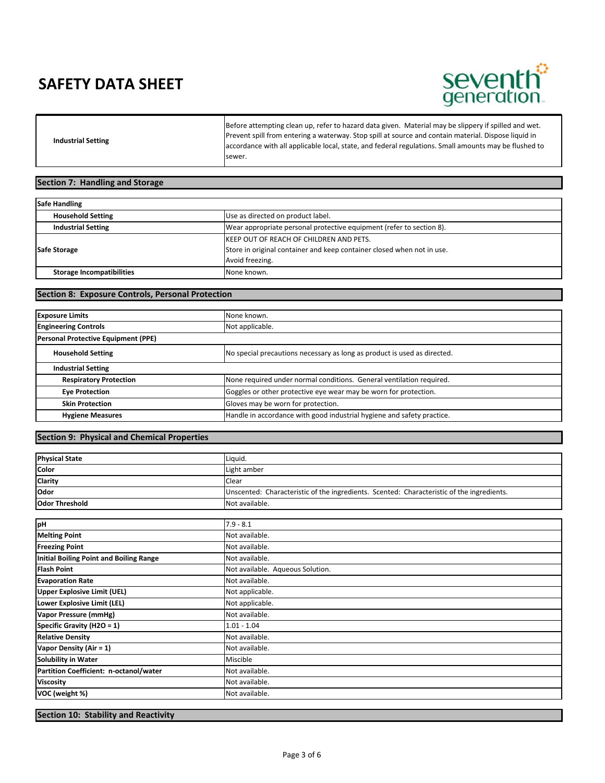

**Industrial Setting**

Before attempting clean up, refer to hazard data given. Material may be slippery if spilled and wet. Prevent spill from entering a waterway. Stop spill at source and contain material. Dispose liquid in accordance with all applicable local, state, and federal regulations. Small amounts may be flushed to sewer.

#### **Section 7: Handling and Storage**

| <b>Safe Handling</b>             |                                                                        |  |
|----------------------------------|------------------------------------------------------------------------|--|
| <b>Household Setting</b>         | Use as directed on product label.                                      |  |
| <b>Industrial Setting</b>        | Wear appropriate personal protective equipment (refer to section 8).   |  |
|                                  | <b>IKEEP OUT OF REACH OF CHILDREN AND PETS.</b>                        |  |
| Safe Storage                     | Store in original container and keep container closed when not in use. |  |
|                                  | Avoid freezing.                                                        |  |
| <b>Storage Incompatibilities</b> | None known.                                                            |  |

#### **Section 8: Exposure Controls, Personal Protection**

| None known.                                                              |
|--------------------------------------------------------------------------|
| Not applicable.                                                          |
|                                                                          |
| No special precautions necessary as long as product is used as directed. |
|                                                                          |
| None required under normal conditions. General ventilation required.     |
| Goggles or other protective eye wear may be worn for protection.         |
| Gloves may be worn for protection.                                       |
| Handle in accordance with good industrial hygiene and safety practice.   |
|                                                                          |

#### **Section 9: Physical and Chemical Properties**

| <b>Physical State</b> | Liquid.                                                                                   |
|-----------------------|-------------------------------------------------------------------------------------------|
| <b>Color</b>          | Light amber                                                                               |
| Clarity               | <b>Clear</b>                                                                              |
| <b>Odor</b>           | Unscented: Characteristic of the ingredients. Scented: Characteristic of the ingredients. |
| <b>Odor Threshold</b> | Not available.                                                                            |

| pH                                             | $7.9 - 8.1$                      |
|------------------------------------------------|----------------------------------|
| <b>Melting Point</b>                           | Not available.                   |
| <b>Freezing Point</b>                          | Not available.                   |
| <b>Initial Boiling Point and Boiling Range</b> | Not available.                   |
| <b>Flash Point</b>                             | Not available. Aqueous Solution. |
| <b>Evaporation Rate</b>                        | Not available.                   |
| <b>Upper Explosive Limit (UEL)</b>             | Not applicable.                  |
| Lower Explosive Limit (LEL)                    | Not applicable.                  |
| <b>Vapor Pressure (mmHg)</b>                   | Not available.                   |
| Specific Gravity (H2O = 1)                     | $1.01 - 1.04$                    |
| <b>Relative Density</b>                        | Not available.                   |
| Vapor Density (Air = 1)                        | Not available.                   |
| <b>Solubility in Water</b>                     | Miscible                         |
| Partition Coefficient: n-octanol/water         | Not available.                   |
| <b>Viscosity</b>                               | Not available.                   |
| VOC (weight %)                                 | Not available.                   |

**Section 10: Stability and Reactivity**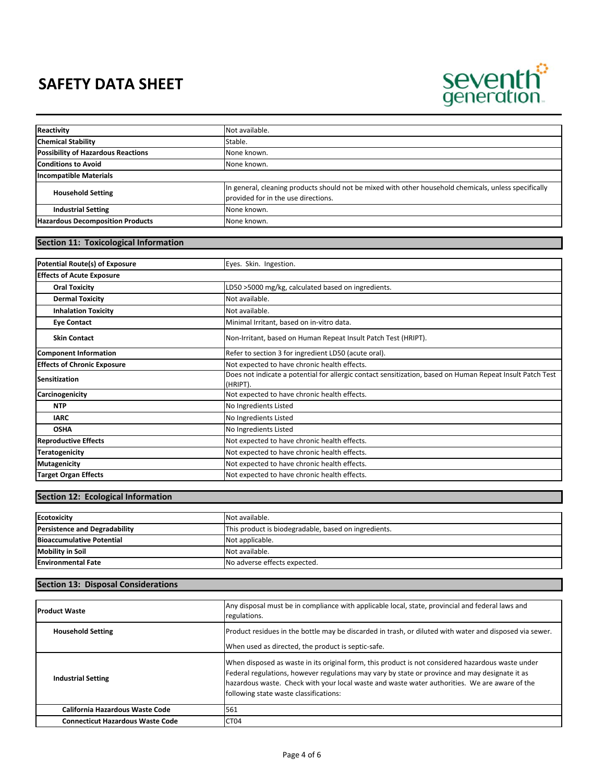

| Stable.<br>None known.<br>None known.<br>In general, cleaning products should not be mixed with other household chemicals, unless specifically<br><b>Household Setting</b><br>provided for in the use directions.<br><b>Industrial Setting</b><br>None known.<br>None known.<br><b>Section 11: Toxicological Information</b><br>Potential Route(s) of Exposure<br>Eyes. Skin. Ingestion.<br><b>Oral Toxicity</b><br>LD50 >5000 mg/kg, calculated based on ingredients.<br>Not available.<br><b>Dermal Toxicity</b><br>Not available.<br><b>Inhalation Toxicity</b><br>Minimal Irritant, based on in-vitro data.<br><b>Eye Contact</b><br><b>Skin Contact</b><br>Non-Irritant, based on Human Repeat Insult Patch Test (HRIPT).<br>Refer to section 3 for ingredient LD50 (acute oral).<br>Not expected to have chronic health effects.<br>Does not indicate a potential for allergic contact sensitization, based on Human Repeat Insult Patch Test<br>(HRIPT).<br>Not expected to have chronic health effects.<br>No Ingredients Listed<br><b>NTP</b><br><b>IARC</b><br>No Ingredients Listed<br><b>OSHA</b><br>No Ingredients Listed<br>Not expected to have chronic health effects.<br>Not expected to have chronic health effects.<br>Not expected to have chronic health effects.<br>Not expected to have chronic health effects. |                                           |                |
|----------------------------------------------------------------------------------------------------------------------------------------------------------------------------------------------------------------------------------------------------------------------------------------------------------------------------------------------------------------------------------------------------------------------------------------------------------------------------------------------------------------------------------------------------------------------------------------------------------------------------------------------------------------------------------------------------------------------------------------------------------------------------------------------------------------------------------------------------------------------------------------------------------------------------------------------------------------------------------------------------------------------------------------------------------------------------------------------------------------------------------------------------------------------------------------------------------------------------------------------------------------------------------------------------------------------------------------|-------------------------------------------|----------------|
|                                                                                                                                                                                                                                                                                                                                                                                                                                                                                                                                                                                                                                                                                                                                                                                                                                                                                                                                                                                                                                                                                                                                                                                                                                                                                                                                        | Reactivity                                | Not available. |
|                                                                                                                                                                                                                                                                                                                                                                                                                                                                                                                                                                                                                                                                                                                                                                                                                                                                                                                                                                                                                                                                                                                                                                                                                                                                                                                                        | <b>Chemical Stability</b>                 |                |
|                                                                                                                                                                                                                                                                                                                                                                                                                                                                                                                                                                                                                                                                                                                                                                                                                                                                                                                                                                                                                                                                                                                                                                                                                                                                                                                                        | <b>Possibility of Hazardous Reactions</b> |                |
|                                                                                                                                                                                                                                                                                                                                                                                                                                                                                                                                                                                                                                                                                                                                                                                                                                                                                                                                                                                                                                                                                                                                                                                                                                                                                                                                        | <b>Conditions to Avoid</b>                |                |
|                                                                                                                                                                                                                                                                                                                                                                                                                                                                                                                                                                                                                                                                                                                                                                                                                                                                                                                                                                                                                                                                                                                                                                                                                                                                                                                                        | <b>Incompatible Materials</b>             |                |
|                                                                                                                                                                                                                                                                                                                                                                                                                                                                                                                                                                                                                                                                                                                                                                                                                                                                                                                                                                                                                                                                                                                                                                                                                                                                                                                                        |                                           |                |
|                                                                                                                                                                                                                                                                                                                                                                                                                                                                                                                                                                                                                                                                                                                                                                                                                                                                                                                                                                                                                                                                                                                                                                                                                                                                                                                                        |                                           |                |
|                                                                                                                                                                                                                                                                                                                                                                                                                                                                                                                                                                                                                                                                                                                                                                                                                                                                                                                                                                                                                                                                                                                                                                                                                                                                                                                                        | <b>Hazardous Decomposition Products</b>   |                |
|                                                                                                                                                                                                                                                                                                                                                                                                                                                                                                                                                                                                                                                                                                                                                                                                                                                                                                                                                                                                                                                                                                                                                                                                                                                                                                                                        |                                           |                |
|                                                                                                                                                                                                                                                                                                                                                                                                                                                                                                                                                                                                                                                                                                                                                                                                                                                                                                                                                                                                                                                                                                                                                                                                                                                                                                                                        |                                           |                |
|                                                                                                                                                                                                                                                                                                                                                                                                                                                                                                                                                                                                                                                                                                                                                                                                                                                                                                                                                                                                                                                                                                                                                                                                                                                                                                                                        |                                           |                |
|                                                                                                                                                                                                                                                                                                                                                                                                                                                                                                                                                                                                                                                                                                                                                                                                                                                                                                                                                                                                                                                                                                                                                                                                                                                                                                                                        |                                           |                |
|                                                                                                                                                                                                                                                                                                                                                                                                                                                                                                                                                                                                                                                                                                                                                                                                                                                                                                                                                                                                                                                                                                                                                                                                                                                                                                                                        | <b>Effects of Acute Exposure</b>          |                |
|                                                                                                                                                                                                                                                                                                                                                                                                                                                                                                                                                                                                                                                                                                                                                                                                                                                                                                                                                                                                                                                                                                                                                                                                                                                                                                                                        |                                           |                |
|                                                                                                                                                                                                                                                                                                                                                                                                                                                                                                                                                                                                                                                                                                                                                                                                                                                                                                                                                                                                                                                                                                                                                                                                                                                                                                                                        |                                           |                |
|                                                                                                                                                                                                                                                                                                                                                                                                                                                                                                                                                                                                                                                                                                                                                                                                                                                                                                                                                                                                                                                                                                                                                                                                                                                                                                                                        |                                           |                |
|                                                                                                                                                                                                                                                                                                                                                                                                                                                                                                                                                                                                                                                                                                                                                                                                                                                                                                                                                                                                                                                                                                                                                                                                                                                                                                                                        |                                           |                |
|                                                                                                                                                                                                                                                                                                                                                                                                                                                                                                                                                                                                                                                                                                                                                                                                                                                                                                                                                                                                                                                                                                                                                                                                                                                                                                                                        |                                           |                |
|                                                                                                                                                                                                                                                                                                                                                                                                                                                                                                                                                                                                                                                                                                                                                                                                                                                                                                                                                                                                                                                                                                                                                                                                                                                                                                                                        | <b>Component Information</b>              |                |
|                                                                                                                                                                                                                                                                                                                                                                                                                                                                                                                                                                                                                                                                                                                                                                                                                                                                                                                                                                                                                                                                                                                                                                                                                                                                                                                                        | <b>Effects of Chronic Exposure</b>        |                |
|                                                                                                                                                                                                                                                                                                                                                                                                                                                                                                                                                                                                                                                                                                                                                                                                                                                                                                                                                                                                                                                                                                                                                                                                                                                                                                                                        | <b>Sensitization</b>                      |                |
|                                                                                                                                                                                                                                                                                                                                                                                                                                                                                                                                                                                                                                                                                                                                                                                                                                                                                                                                                                                                                                                                                                                                                                                                                                                                                                                                        | Carcinogenicity                           |                |
|                                                                                                                                                                                                                                                                                                                                                                                                                                                                                                                                                                                                                                                                                                                                                                                                                                                                                                                                                                                                                                                                                                                                                                                                                                                                                                                                        |                                           |                |
|                                                                                                                                                                                                                                                                                                                                                                                                                                                                                                                                                                                                                                                                                                                                                                                                                                                                                                                                                                                                                                                                                                                                                                                                                                                                                                                                        |                                           |                |
|                                                                                                                                                                                                                                                                                                                                                                                                                                                                                                                                                                                                                                                                                                                                                                                                                                                                                                                                                                                                                                                                                                                                                                                                                                                                                                                                        |                                           |                |
|                                                                                                                                                                                                                                                                                                                                                                                                                                                                                                                                                                                                                                                                                                                                                                                                                                                                                                                                                                                                                                                                                                                                                                                                                                                                                                                                        | <b>Reproductive Effects</b>               |                |
|                                                                                                                                                                                                                                                                                                                                                                                                                                                                                                                                                                                                                                                                                                                                                                                                                                                                                                                                                                                                                                                                                                                                                                                                                                                                                                                                        | <b>Teratogenicity</b>                     |                |
|                                                                                                                                                                                                                                                                                                                                                                                                                                                                                                                                                                                                                                                                                                                                                                                                                                                                                                                                                                                                                                                                                                                                                                                                                                                                                                                                        | <b>Mutagenicity</b>                       |                |
|                                                                                                                                                                                                                                                                                                                                                                                                                                                                                                                                                                                                                                                                                                                                                                                                                                                                                                                                                                                                                                                                                                                                                                                                                                                                                                                                        | <b>Target Organ Effects</b>               |                |

#### **Section 12: Ecological Information**

| <b>Ecotoxicity</b>                   | Not available.                                       |
|--------------------------------------|------------------------------------------------------|
| <b>Persistence and Degradability</b> | This product is biodegradable, based on ingredients. |
| <b>Bioaccumulative Potential</b>     | Not applicable.                                      |
| <b>Mobility in Soil</b>              | Not available.                                       |
| <b>Environmental Fate</b>            | No adverse effects expected.                         |

### **Section 13: Disposal Considerations**

| <b>Product Waste</b>                    | Any disposal must be in compliance with applicable local, state, provincial and federal laws and<br>regulations.                                                                                                                                                                                                                               |
|-----------------------------------------|------------------------------------------------------------------------------------------------------------------------------------------------------------------------------------------------------------------------------------------------------------------------------------------------------------------------------------------------|
| <b>Household Setting</b>                | Product residues in the bottle may be discarded in trash, or diluted with water and disposed via sewer.<br>When used as directed, the product is septic-safe.                                                                                                                                                                                  |
| <b>Industrial Setting</b>               | When disposed as waste in its original form, this product is not considered hazardous waste under<br>Federal regulations, however regulations may vary by state or province and may designate it as<br>hazardous waste. Check with your local waste and waste water authorities. We are aware of the<br>following state waste classifications: |
| <b>California Hazardous Waste Code</b>  | 561                                                                                                                                                                                                                                                                                                                                            |
| <b>Connecticut Hazardous Waste Code</b> | CT <sub>04</sub>                                                                                                                                                                                                                                                                                                                               |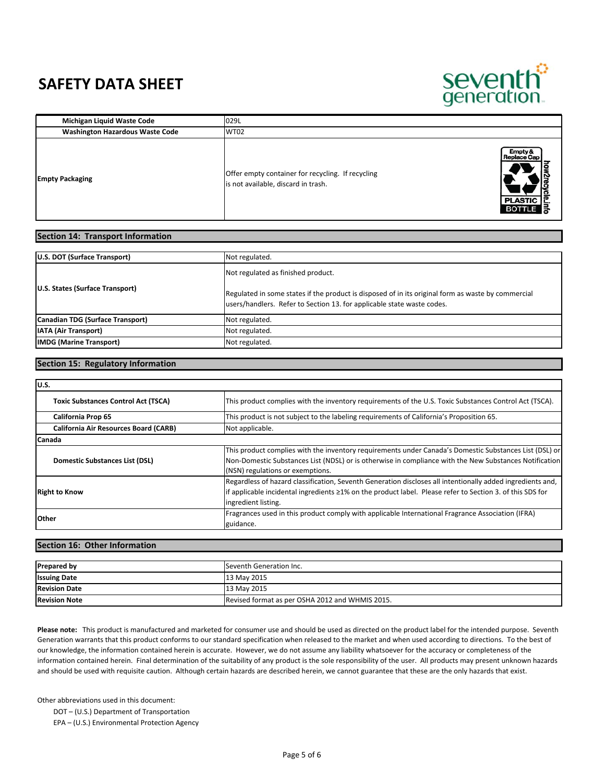

| Michigan Liquid Waste Code             | 029L                                                                                                                                                       |
|----------------------------------------|------------------------------------------------------------------------------------------------------------------------------------------------------------|
| <b>Washington Hazardous Waste Code</b> | <b>WT02</b>                                                                                                                                                |
| <b>Empty Packaging</b>                 | Empty &<br>Replace Cap<br>Offer empty container for recycling. If recycling<br>is not available, discard in trash.<br>œ<br><b>PLASTIC</b><br><b>BOTTLE</b> |

| U.S. DOT (Surface Transport)     | Not regulated.                                                                                                                                                                                                     |
|----------------------------------|--------------------------------------------------------------------------------------------------------------------------------------------------------------------------------------------------------------------|
| U.S. States (Surface Transport)  | Not regulated as finished product.<br>Regulated in some states if the product is disposed of in its original form as waste by commercial<br>users/handlers. Refer to Section 13. for applicable state waste codes. |
| Canadian TDG (Surface Transport) | Not regulated.                                                                                                                                                                                                     |
| <b>IATA (Air Transport)</b>      | Not regulated.                                                                                                                                                                                                     |
| <b>IMDG (Marine Transport)</b>   | Not regulated.                                                                                                                                                                                                     |
|                                  |                                                                                                                                                                                                                    |

#### **Section 15: Regulatory Information**

**Section 14: Transport Information**

| lu.s.                                        |                                                                                                                                                                                                                                                       |
|----------------------------------------------|-------------------------------------------------------------------------------------------------------------------------------------------------------------------------------------------------------------------------------------------------------|
| <b>Toxic Substances Control Act (TSCA)</b>   | This product complies with the inventory requirements of the U.S. Toxic Substances Control Act (TSCA).                                                                                                                                                |
| <b>California Prop 65</b>                    | This product is not subject to the labeling requirements of California's Proposition 65.                                                                                                                                                              |
| <b>California Air Resources Board (CARB)</b> | Not applicable.                                                                                                                                                                                                                                       |
| <b>Canada</b>                                |                                                                                                                                                                                                                                                       |
| Domestic Substances List (DSL)               | This product complies with the inventory requirements under Canada's Domestic Substances List (DSL) or<br>Non-Domestic Substances List (NDSL) or is otherwise in compliance with the New Substances Notification<br>(NSN) regulations or exemptions.  |
| <b>Right to Know</b>                         | Regardless of hazard classification, Seventh Generation discloses all intentionally added ingredients and,<br>if applicable incidental ingredients $\geq 1\%$ on the product label. Please refer to Section 3. of this SDS for<br>ingredient listing. |
| <b>Other</b>                                 | Fragrances used in this product comply with applicable International Fragrance Association (IFRA)<br>guidance.                                                                                                                                        |

#### **Section 16: Other Information**

| <b>Prepared by</b>   | Seventh Generation Inc.                         |
|----------------------|-------------------------------------------------|
| <b>Issuing Date</b>  | 13 May 2015                                     |
| <b>Revision Date</b> | 13 May 2015                                     |
| <b>Revision Note</b> | Revised format as per OSHA 2012 and WHMIS 2015. |

**Please note:** This product is manufactured and marketed for consumer use and should be used as directed on the product label for the intended purpose. Seventh Generation warrants that this product conforms to our standard specification when released to the market and when used according to directions. To the best of our knowledge, the information contained herein is accurate. However, we do not assume any liability whatsoever for the accuracy or completeness of the information contained herein. Final determination of the suitability of any product is the sole responsibility of the user. All products may present unknown hazards and should be used with requisite caution. Although certain hazards are described herein, we cannot guarantee that these are the only hazards that exist.

Other abbreviations used in this document:

DOT – (U.S.) Department of Transportation

EPA – (U.S.) Environmental Protection Agency